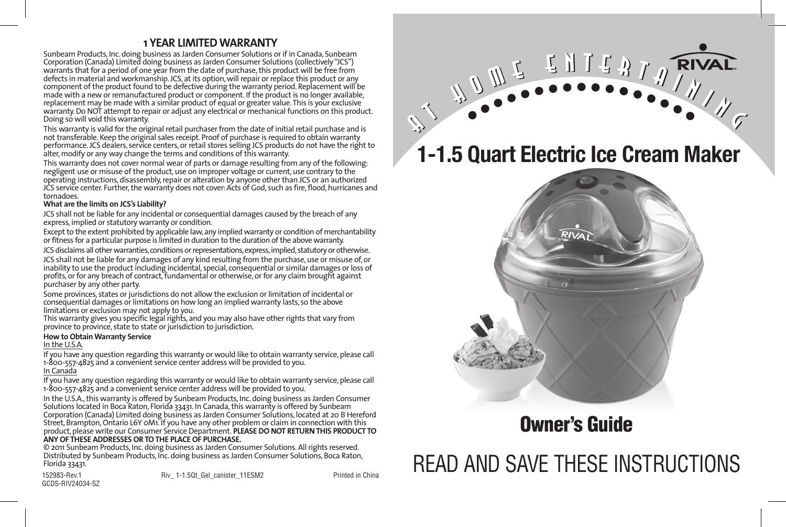### **1 YEAR LIMITED WARRANTY**

Sunbeam Products, Inc. doing business as Jarden Consumer Solutions or if in Canada, Sunbeam Corporation (Canada) Limited doing business as Jarden Consumer Solutions (collectively "JCS") warrants that for a period of one year from the date of purchase, this product will be free from defects in material and workmanship. JCS, at its option, will repair or replace this product or any component of the product found to be defective during the warranty period. Replacement will be made with a new or remanufactured product or component. If the product is no longer available, replacement may be made with a similar product of equal or greater value. This is your exclusive warranty. Do NOT attempt to repair or adjust any electrical or mechanical functions on this product. Doing so will void this warranty.

This warranty is valid for the original retail purchaser from the date of initial retail purchase and is not transferable. Keep the original sales receipt. Proof of purchase is required to obtain warranty performance. JCS dealers, service centers, or retail stores selling JCS products do not have the right to alter, modify or any way change the terms and conditions of this warranty.

This warranty does not cover normal wear of parts or damage resulting from any of the following: negligent use or misuse of the product, use on improper voltage or current, use contrary to the operating instructions, disassembly, repair or alteration by anyone other than JCS or an authorized JCS service center. Further, the warranty does not cover: Acts of God, such as fire, flood, hurricanes and tornadoes.

### **What are the limits on JCS's Liability?**

JCS shall not be liable for any incidental or consequential damages caused by the breach of any express, implied or statutory warranty or condition.

Except to the extent prohibited by applicable law, any implied warranty or condition of merchantability or fitness for a particular purpose is limited in duration to the duration of the above warranty.

JCS disclaims all other warranties, conditions or representations, express, implied, statutory or otherwise.

JCS shall not be liable for any damages of any kind resulting from the purchase, use or misuse of, or inability to use the product including incidental, special, consequential or similar damages or loss of profits, or for any breach of contract, fundamental or otherwise, or for any claim brought against purchaser by any other party.

Some provinces, states or jurisdictions do not allow the exclusion or limitation of incidental or consequential damages or limitations on how long an implied warranty lasts, so the above limitations or exclusion may not apply to you.

This warranty gives you specific legal rights, and you may also have other rights that vary from province to province, state to state or jurisdiction to jurisdiction.

### **How to Obtain Warranty Service**

### In the U.S.A.

If you have any question regarding this warranty or would like to obtain warranty service, please call 1-800-557-4825 and a convenient service center address will be provided to you. In Canada

If you have any question regarding this warranty or would like to obtain warranty service, please call 1-800-557-4825 and a convenient service center address will be provided to you.

In the U.S.A., this warranty is offered by Sunbeam Products, Inc. doing business as Jarden Consumer Solutions located in Boca Raton, Florida 33431. In Canada, this warranty is offered by Sunbeam Corporation (Canada) Limited doing business as Jarden Consumer Solutions, located at 20 B Hereford Street, Brampton, Ontario L6Y 0M1. If you have any other problem or claim in connection with this product, please write our Consumer Service Department. **PLEASE DO NOT RETURN THIS PRODUCT TO ANY OF THESE ADDRESSES OR TO THE PLACE OF PURCHASE.** 

© 2011 Sunbeam Products, Inc. doing business as Jarden Consumer Solutions. All rights reserved. Distributed by Sunbeam Products, Inc. doing business as Jarden Consumer Solutions, Boca Raton, Florida 33431.

GCDS-RIV24034-SZ

152983-Rev.1 **Riverse Rive 1-1.5Qt** Gel canister 11ESM2 **Printed in China** 

# WULLEDISATARIVAL

## **1-1.5 Quart Electric Ice Cream Maker**



## Owner's Guide

## READ AND SAVE THESE INSTRUCTIONS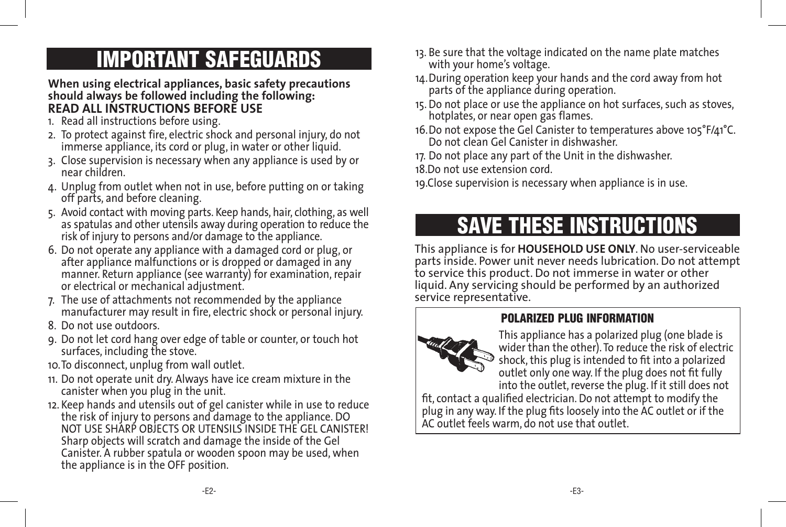## IMPORTANT SAFEGUARDS

**When using electrical appliances, basic safety precautions should always be followed including the following: READ ALL INSTRUCTIONS BEFORE USE**

- 1. Read all instructions before using.
- 2. To protect against fire, electric shock and personal injury, do not immerse appliance, its cord or plug, in water or other liquid.
- 3. Close supervision is necessary when any appliance is used by or near children.
- 4. Unplug from outlet when not in use, before putting on or taking off parts, and before cleaning.
- 5. Avoid contact with moving parts. Keep hands, hair, clothing, as well as spatulas and other utensils away during operation to reduce the risk of injury to persons and/or damage to the appliance.
- 6. Do not operate any appliance with a damaged cord or plug, or after appliance malfunctions or is dropped or damaged in any manner. Return appliance (see warranty) for examination, repair or electrical or mechanical adjustment.
- 7. The use of attachments not recommended by the appliance manufacturer may result in fire, electric shock or personal injury.
- 8. Do not use outdoors.
- 9. Do not let cord hang over edge of table or counter, or touch hot surfaces, including the stove.
- 10.To disconnect, unplug from wall outlet.
- 11. Do not operate unit dry. Always have ice cream mixture in the canister when you plug in the unit.
- 12. Keep hands and utensils out of gel canister while in use to reduce the risk of injury to persons and damage to the appliance. DO NOT USE SHARP OBJECTS OR UTENSILS INSIDE THE GEL CANISTER! Sharp objects will scratch and damage the inside of the Gel Canister. A rubber spatula or wooden spoon may be used, when the appliance is in the OFF position.
- 13. Be sure that the voltage indicated on the name plate matches with your home's voltage.
- 14.During operation keep your hands and the cord away from hot parts of the appliance during operation.
- 15. Do not place or use the appliance on hot surfaces, such as stoves, hotplates, or near open gas flames.
- 16.Do not expose the Gel Canister to temperatures above 105°F/41°C. Do not clean Gel Canister in dishwasher.
- 17. Do not place any part of the Unit in the dishwasher.

18.Do not use extension cord.

19.Close supervision is necessary when appliance is in use.

## SAVE THESE INSTRUCTIONS

This appliance is for **HOUSEHOLD USE ONLY**. No user-serviceable parts inside. Power unit never needs lubrication. Do not attempt to service this product. Do not immerse in water or other liquid. Any servicing should be performed by an authorized service representative.

### POLARIZED PLUG INFORMATION



This appliance has a polarized plug (one blade is wider than the other). To reduce the risk of electric shock, this plug is intended to fit into a polarized outlet only one way. If the plug does not fit fully into the outlet, reverse the plug. If it still does not

fit, contact a qualified electrician. Do not attempt to modify the plug in any way. If the plug fits loosely into the AC outlet or if the AC outlet feels warm, do not use that outlet.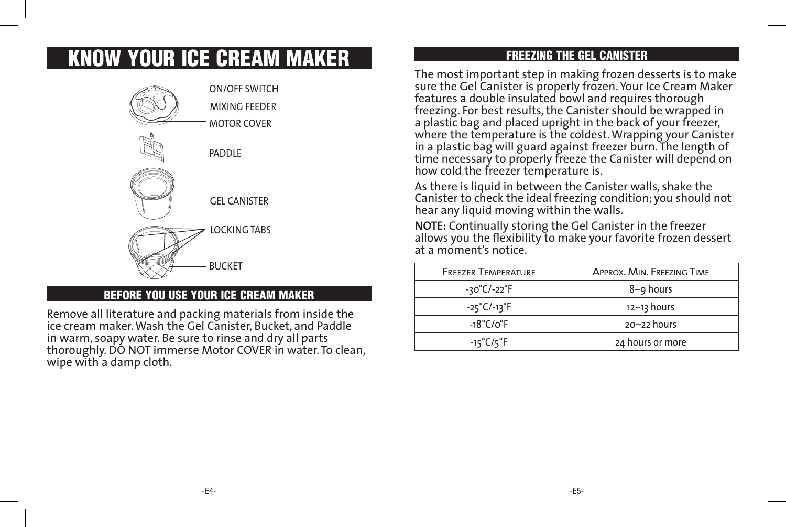## KNOW YOUR ICE CREAM MAKER



### BEFORE YOU USE YOUR ICE CREAM MAKER

Remove all literature and packing materials from inside the ice cream maker. Wash the Gel Canister, Bucket, and Paddle in warm, soapy water. Be sure to rinse and dry all parts thoroughly. DO NOT immerse Motor COVER in water. To clean, wipe with a damp cloth.

### FREEZING THE GEL CANISTER

The most important step in making frozen desserts is to make sure the Gel Canister is properly frozen. Your Ice Cream Maker features a double insulated bowl and requires thorough freezing. For best results, the Canister should be wrapped in a plastic bag and placed upright in the back of your freezer, where the temperature is the coldest. Wrapping your Canister in a plastic bag will guard against freezer burn. The length of time necessary to properly freeze the Canister will depend on how cold the freezer temperature is.

As there is liquid in between the Canister walls, shake the Canister to check the ideal freezing condition; you should not hear any liquid moving within the walls.

**NOTE:** Continually storing the Gel Canister in the freezer allows you the flexibility to make your favorite frozen dessert at a moment's notice.

| <b>FREEZER TEMPERATURE</b>       | APPROX, MIN, FREEZING TIME |
|----------------------------------|----------------------------|
| $-30^{\circ}$ C/-22 $^{\circ}$ F | 8-9 hours                  |
| $-25^{\circ}$ C/-13 $^{\circ}$ F | $12 - 13$ hours            |
| $-18^{\circ}$ C/o $^{\circ}$ F   | $20 - 22$ hours            |
| $-15^{\circ}$ C/ $5^{\circ}$ F   | 24 hours or more           |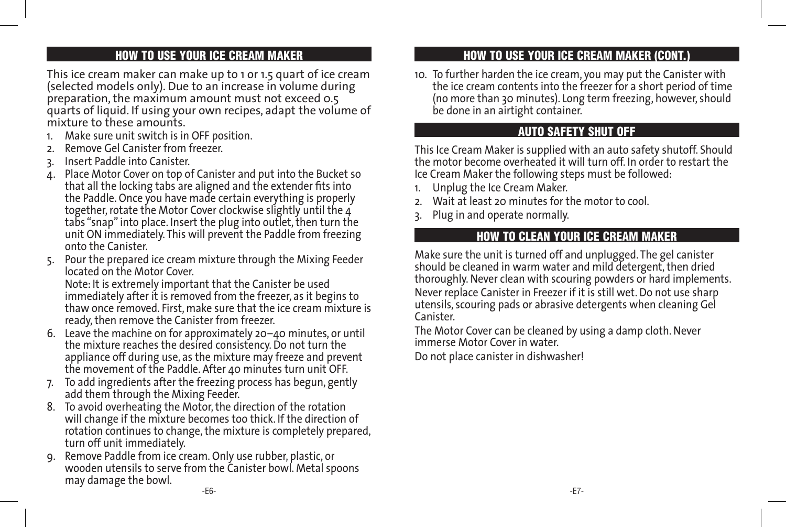### HOW TO USE YOUR ICE CREAM MAKER

This ice cream maker can make up to 1 or 1.5 quart of ice cream (selected models only). Due to an increase in volume during preparation, the maximum amount must not exceed 0.5 quarts of liquid. If using your own recipes, adapt the volume of mixture to these amounts.

- 1. Make sure unit switch is in OFF position.
- 2. Remove Gel Canister from freezer.
- 3. Insert Paddle into Canister.
- 4. Place Motor Cover on top of Canister and put into the Bucket so that all the locking tabs are aligned and the extender fits into the Paddle. Once you have made certain everything is properly together, rotate the Motor Cover clockwise slightly until the 4 tabs "snap" into place. Insert the plug into outlet, then turn the unit ON immediately. This will prevent the Paddle from freezing onto the Canister.
- 5. Pour the prepared ice cream mixture through the Mixing Feeder located on the Motor Cover.

 Note: It is extremely important that the Canister be used immediately after it is removed from the freezer, as it begins to thaw once removed. First, make sure that the ice cream mixture is ready, then remove the Canister from freezer.

- 6. Leave the machine on for approximately 20–40 minutes, or until the mixture reaches the desired consistency. Do not turn the appliance off during use, as the mixture may freeze and prevent the movement of the Paddle. After 40 minutes turn unit OFF.
- 7. To add ingredients after the freezing process has begun, gently add them through the Mixing Feeder.
- 8. To avoid overheating the Motor, the direction of the rotation will change if the mixture becomes too thick. If the direction of rotation continues to change, the mixture is completely prepared, turn off unit immediately.
- -E6- -E7- 9. Remove Paddle from ice cream. Only use rubber, plastic, or wooden utensils to serve from the Canister bowl. Metal spoons may damage the bowl.

### HOW TO USE YOUR ICE CREAM MAKER (CONT.)

10. To further harden the ice cream, you may put the Canister with the ice cream contents into the freezer for a short period of time (no more than 30 minutes). Long term freezing, however, should be done in an airtight container.

### AUTO SAFETY SHUT OFF

This Ice Cream Maker is supplied with an auto safety shutoff. Should the motor become overheated it will turn off. In order to restart the Ice Cream Maker the following steps must be followed:

- Unplug the Ice Cream Maker.
- 2. Wait at least 20 minutes for the motor to cool.
- 3. Plug in and operate normally.

### HOW TO CLEAN YOUR ICE CREAM MAKER

Make sure the unit is turned off and unplugged. The gel canister should be cleaned in warm water and mild detergent, then dried thoroughly. Never clean with scouring powders or hard implements. Never replace Canister in Freezer if it is still wet. Do not use sharp utensils, scouring pads or abrasive detergents when cleaning Gel Canister.

The Motor Cover can be cleaned by using a damp cloth. Never immerse Motor Cover in water.

Do not place canister in dishwasher!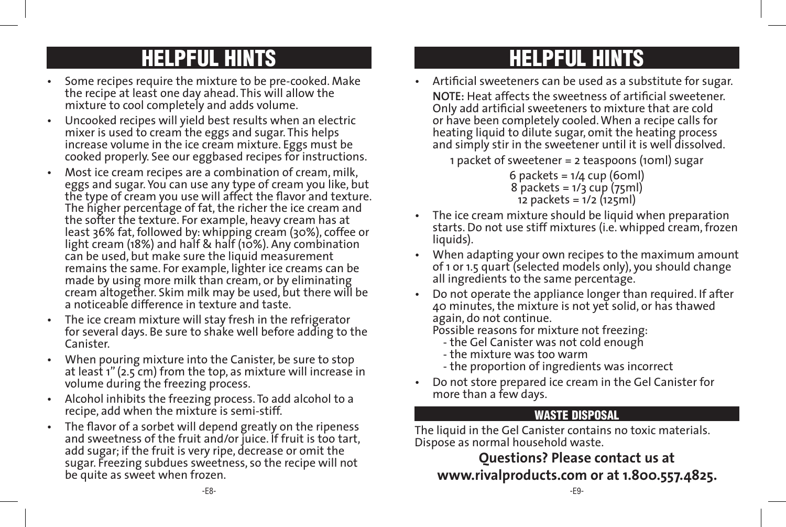## HELPFUL HINTS HELPFUL HINTS

- Some recipes require the mixture to be pre-cooked. Make the recipe at least one day ahead. This will allow the mixture to cool completely and adds volume.
- Uncooked recipes will yield best results when an electric mixer is used to cream the eggs and sugar. This helps increase volume in the ice cream mixture. Eggs must be cooked properly. See our eggbased recipes for instructions.
- Most ice cream recipes are a combination of cream, milk, eggs and sugar. You can use any type of cream you like, but the type of cream you use will affect the flavor and texture. The higher percentage of fat, the richer the ice cream and the softer the texture. For example, heavy cream has at least 36% fat, followed by: whipping cream (30%), coffee or light cream (18%) and half & half (10%). Any combination can be used, but make sure the liquid measurement remains the same. For example, lighter ice creams can be made by using more milk than cream, or by eliminating cream altogether. Skim milk may be used, but there will be a noticeable difference in texture and taste.
- The ice cream mixture will stay fresh in the refrigerator for several days. Be sure to shake well before adding to the Canister.
- When pouring mixture into the Canister, be sure to stop at least 1" (2.5 cm) from the top, as mixture will increase in volume during the freezing process.
- Alcohol inhibits the freezing process. To add alcohol to a recipe, add when the mixture is semi-stiff.
- The flavor of a sorbet will depend greatly on the ripeness and sweetness of the fruit and/or juice. If fruit is too tart, add sugar; if the fruit is very ripe, decrease or omit the sugar. Freezing subdues sweetness, so the recipe will not be quite as sweet when frozen.

• Artificial sweeteners can be used as a substitute for sugar.

 **NOTE:** Heat affects the sweetness of artificial sweetener. Only add artificial sweeteners to mixture that are cold or have been completely cooled. When a recipe calls for heating liquid to dilute sugar, omit the heating process and simply stir in the sweetener until it is well dissolved.

1 packet of sweetener = 2 teaspoons (10ml) sugar

6 packets = 1/4 cup (60ml)  $8$  packets =  $1/3$  cup ( $75$ ml) 12 packets = 1/2 (125ml)

- The ice cream mixture should be liquid when preparation starts. Do not use stiff mixtures (i.e. whipped cream, frozen liquids).
- When adapting your own recipes to the maximum amount of 1 or 1.5 quart (selected models only), you should change all ingredients to the same percentage.
- Do not operate the appliance longer than required. If after 40 minutes, the mixture is not yet solid, or has thawed again, do not continue.

Possible reasons for mixture not freezing:

- the Gel Canister was not cold enough
- the mixture was too warm
- the proportion of ingredients was incorrect
- Do not store prepared ice cream in the Gel Canister for more than a few days.

### WASTE DISPOSAL

The liquid in the Gel Canister contains no toxic materials. Dispose as normal household waste.

**Questions? Please contact us at www.rivalproducts.com or at 1.800.557.4825.**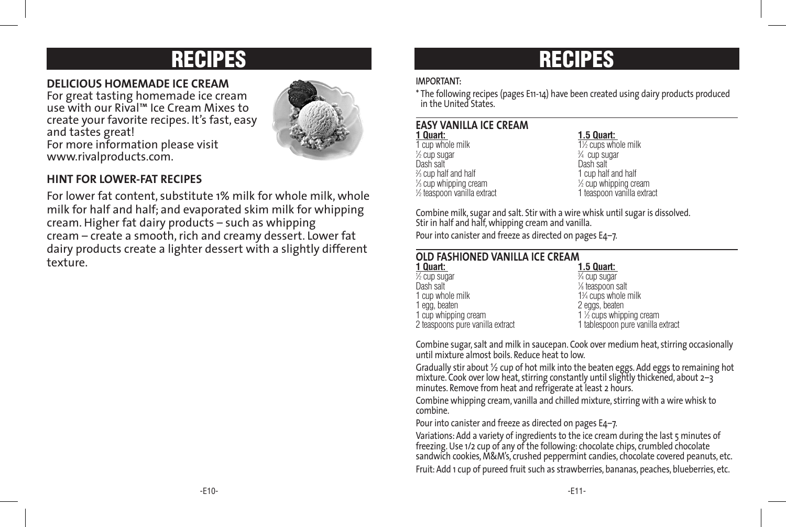## RECIPES RECIPES

### **DELICIOUS HOMEMADE ICE CREAM**

For great tasting homemade ice cream use with our Rival™ Ice Cream Mixes to create your favorite recipes. It's fast, easy and tastes great! For more information please visit www.rivalproducts.com.



### **HINT FOR LOWER-FAT RECIPES**

For lower fat content, substitute 1% milk for whole milk, whole milk for half and half; and evaporated skim milk for whipping cream. Higher fat dairy products – such as whipping cream – create a smooth, rich and creamy dessert. Lower fat dairy products create a lighter dessert with a slightly different texture.

### **IMPORTANT:**

\* The following recipes (pages E11-14) have been created using dairy products produced in the United States.

## **EASY VANILLA ICE CREAM**

1 cup whole milk  $\frac{1}{2}$  cup sugar 3 Dash salt % cup half and half  $\frac{1}{3}$  cup whipping cream 1/2 teaspoon vanilla extract

### **1 Quart: 1.5 Quart:**

⁄2 cups whole milk <sup>3∕4</sup> cup sugar<br>Dash salt 1 cup half and half  $\frac{1}{2}$  cup whipping cream ⁄2 teaspoon vanilla extract 1 teaspoon vanilla extract

Combine milk, sugar and salt. Stir with a wire whisk until sugar is dissolved. Stir in half and half, whipping cream and vanilla.

Pour into canister and freeze as directed on pages E4–7.

| OLD FASHIONED VANILLA ICE CREAM  |                                   |  |
|----------------------------------|-----------------------------------|--|
| 1 Quart:                         | <b>1.5 Quart:</b>                 |  |
| 1/2 cup sugar                    | 3⁄4 cup sugar                     |  |
| Dash salt                        | 1/ <sub>8</sub> teaspoon salt     |  |
| 1 cup whole milk                 | 1% cups whole milk                |  |
| 1 egg, beaten                    | 2 eggs, beaten                    |  |
| 1 cup whipping cream             | 1 1/2 cups whipping cream         |  |
| 2 teaspoons pure vanilla extract | 1 tablespoon pure vanilla extract |  |

Combine sugar, salt and milk in saucepan. Cook over medium heat, stirring occasionally until mixture almost boils. Reduce heat to low.

Gradually stir about ½ cup of hot milk into the beaten eggs. Add eggs to remaining hot mixture. Cook over low heat, stirring constantly until slightly thickened, about  $2-3$ minutes. Remove from heat and refrigerate at least 2 hours.

Combine whipping cream, vanilla and chilled mixture, stirring with a wire whisk to combine.

Pour into canister and freeze as directed on pages E4–7.

Variations: Add a variety of ingredients to the ice cream during the last 5 minutes of freezing. Use 1/2 cup of any of the following: chocolate chips, crumbled chocolate sandwich cookies, M&M's, crushed peppermint candies, chocolate covered peanuts, etc. Fruit: Add 1 cup of pureed fruit such as strawberries, bananas, peaches, blueberries, etc.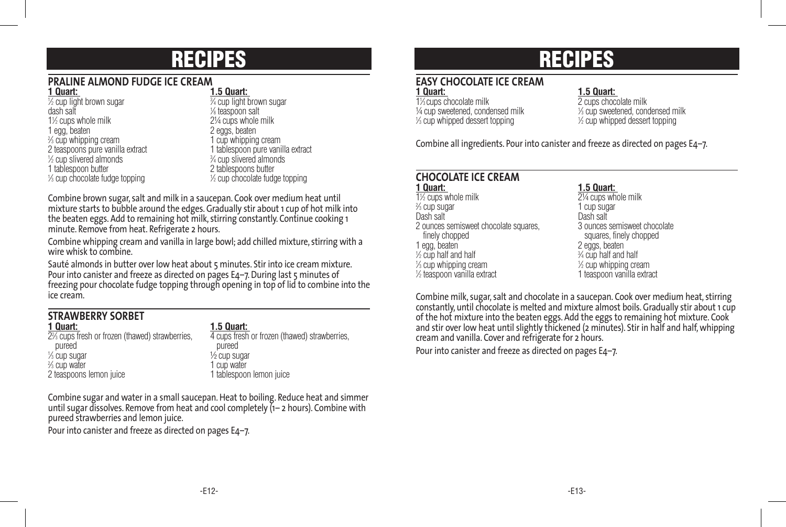## RECIPES

### **PRALINE ALMOND FUDGE ICE CREAM**

| . vuut                           |                |
|----------------------------------|----------------|
| 1/2 cup light brown sugar        | $\frac{1}{3}$  |
| dash salt                        | γ              |
| 1½ cups whole milk               | 2              |
| 1 egg, beaten                    | $\overline{2}$ |
| % cup whipping cream             | 1              |
| 2 teaspoons pure vanilla extract | 1              |
| 1/2 cup slivered almonds         | $\frac{3}{2}$  |
| 1 tablespoon butter              | 2              |
| % cup chocolate fudge topping    | y              |
|                                  |                |

**1 Quart: 1.5 Quart:** ⁄4 cup light brown sugar teaspoon salt ⁄2 cups whole milk 2¼ cups whole milk eggs, beaten cup whipping cream tablespoon pure vanilla extract ⁄4 cup slivered almonds tablespoons butter ⁄2 cup chocolate fudge topping

Combine brown sugar, salt and milk in a saucepan. Cook over medium heat until mixture starts to bubble around the edges. Gradually stir about 1 cup of hot milk into the beaten eggs. Add to remaining hot milk, stirring constantly. Continue cooking 1 minute. Remove from heat. Refrigerate 2 hours.

Combine whipping cream and vanilla in large bowl; add chilled mixture, stirring with a wire whisk to combine.

Sauté almonds in butter over low heat about 5 minutes. Stir into ice cream mixture. Pour into canister and freeze as directed on pages E4–7. During last 5 minutes of freezing pour chocolate fudge topping through opening in top of lid to combine into the ice cream.

## **STRAWBERRY SORBET**

22 ⁄3 cups fresh or frozen (thawed) strawberries, 4 cups fresh or frozen (thawed) strawberries, pureed pureed pureed pureed pureed and the pureed pureed and the pureed pureed and  $\frac{1}{6}$  cup subsets and  $\frac{1}{6}$  cup subsets and  $\frac{1}{6}$  cup subsets and  $\frac{1}{6}$  cup subsets and  $\frac{1}{6}$  cup subsets and  $\frac{1}{6}$  $\frac{1}{2}$  cup sugar  $\frac{1}{2}$  cup sugar  $\frac{2}{3}$  cup water <sup>3</sup>/<sub>3</sub> cup water 1 cup water 1 cup water<br>
2 teaspoons lemon juice 1 tablespoor

**1.5 Quart: 4** cups fresh or frozen (thawed) strawberries. 2 teaspoons lemon juice 1 tablespoon lemon juice

Combine sugar and water in a small saucepan. Heat to boiling. Reduce heat and simmer until sugar dissolves. Remove from heat and cool completely (1– 2 hours). Combine with pureed strawberries and lemon juice.

Pour into canister and freeze as directed on pages E4–7.

## RECIPES

## **EASY CHOCOLATE ICE CREAM**

1% cups chocolate milk ¼ cup sweetened, condensed milk <sup>1</sup> 1 ⁄3 cup whipped dessert topping <sup>1</sup>

**1 Quart: 1.5 Quart:** 

⁄3 cups chocolate milk 2 cups chocolate milk ⁄3 cup sweetened, condensed milk ⁄2 cup whipped dessert topping

Combine all ingredients. Pour into canister and freeze as directed on pages E4–7.

## **CHOCOLATE ICE CREAM**

11 ⁄2 cups whole milk 2¼ cups whole milk % cup sugar Dash salt Dash salt 2 ounces semisweet chocolate squares,<br>finely chopped finely chopped<br>
1 eqq, beaten<br>
1 eqq, beaten  $\frac{1}{2}$  cup half and half  $\frac{3}{2}$  $\frac{1}{3}$  cup whipping cream  $\frac{1}{3}$ 1/2 teaspoon vanilla extract

**1.5 Quart:** 21/<sub>4</sub> cups whole milk 1 cup sugar<br>Dash salt 2 eggs, beaten  $\frac{3}{4}$  cup half and half  $\frac{1}{2}$  cup whipping cream ⁄2 teaspoon vanilla extract 1 teaspoon vanilla extract

Combine milk, sugar, salt and chocolate in a saucepan. Cook over medium heat, stirring constantly, until chocolate is melted and mixture almost boils. Gradually stir about 1 cup of the hot mixture into the beaten eggs. Add the eggs to remaining hot mixture. Cook and stir over low heat until slightly thickened (2 minutes). Stir in half and half, whipping cream and vanilla. Cover and refrigerate for 2 hours.

Pour into canister and freeze as directed on pages E4–7.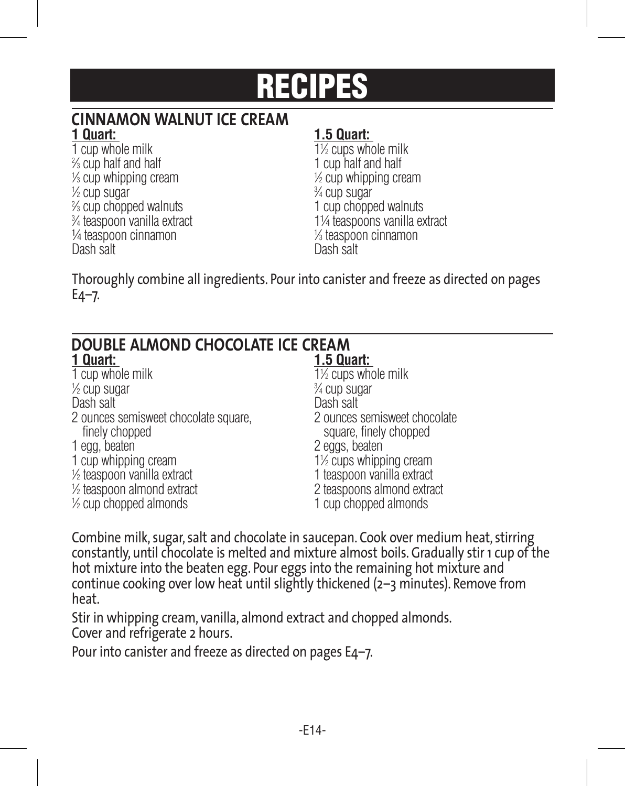## RECIPES

## **CINNAMON WALNUT ICE CREAM**

1 cup whole milk % cup half and half  $\frac{1}{3}$  cup whipping cream  $\frac{1}{3}$  $\frac{1}{2}$  cup sugar  $\frac{3}{2}$ % cup chopped walnuts 3⁄4 teaspoon vanilla extract ¼ teaspoon cinnamon <sup>1</sup> Dash salt

### **1 Quart: 1.5 Quart:**

⁄2 cups whole milk 1 cup half and half ⁄2 cup whipping cream ⁄4 cup sugar ⁄3 cup chopped walnuts 1 cup chopped walnuts ⁄4 teaspoon vanilla extract 1¼ teaspoons vanilla extract ⁄3 teaspoon cinnamon

Thoroughly combine all ingredients. Pour into canister and freeze as directed on pages  $E4-7.$ 

| DOUBLE ALMOND CHOCOLATE ICE CREAM                      |                                                        |  |
|--------------------------------------------------------|--------------------------------------------------------|--|
| 1 Quart:                                               | <b>1.5 Quart:</b>                                      |  |
| 1 cup whole milk                                       | 1½ cups whole milk                                     |  |
| $\frac{1}{2}$ cup sugar                                | 3/4 cup sugar                                          |  |
| Dash salt                                              | Dash salt                                              |  |
| 2 ounces semisweet chocolate square.<br>finely chopped | 2 ounces semisweet chocolate<br>square, finely chopped |  |
| 1 egg, beaten                                          | 2 eggs, beaten                                         |  |
| 1 cup whipping cream                                   | 1 <sup>1</sup> / <sub>2</sub> cups whipping cream      |  |
| 1/2 teaspoon vanilla extract                           | 1 teaspoon vanilla extract                             |  |
| 1/2 teaspoon almond extract                            | 2 teaspoons almond extract                             |  |
| $\frac{1}{2}$ cup chopped almonds                      | 1 cup chopped almonds                                  |  |

Combine milk, sugar, salt and chocolate in saucepan. Cook over medium heat, stirring constantly, until chocolate is melted and mixture almost boils. Gradually stir 1 cup of the hot mixture into the beaten egg. Pour eggs into the remaining hot mixture and continue cooking over low heat until slightly thickened (2–3 minutes). Remove from heat.

Stir in whipping cream, vanilla, almond extract and chopped almonds. Cover and refrigerate 2 hours.

Pour into canister and freeze as directed on pages E4–7.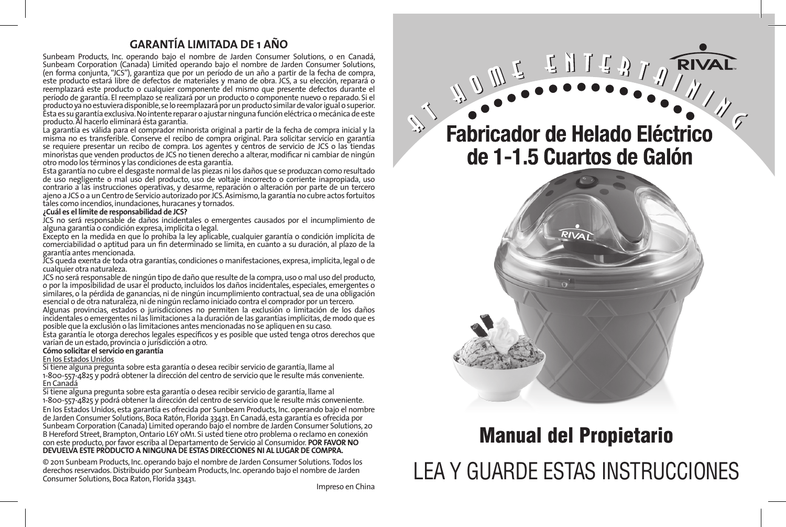### **GARANTÍA LIMITADA DE 1 AÑO**

Sunbeam Products, Inc. operando bajo el nombre de Jarden Consumer Solutions, o en Canadá, Sunbeam Corporation (Canada) Limited operando bajo el nombre de Jarden Consumer Solutions, (en forma conjunta, "JCS"), garantiza que por un período de un año a partir de la fecha de compra, este producto estará libre de defectos de materiales y mano de obra. JCS, a su elección, reparará o reemplazará este producto o cualquier componente del mismo que presente defectos durante el período de garantía. El reemplazo se realizará por un producto o componente nuevo o reparado. Si el producto ya no estuviera disponible, se lo reemplazará por un producto similar de valor igual o superior. Ésta es su garantía exclusiva. No intente reparar o ajustar ninguna función eléctrica o mecánica de este producto. Al hacerlo elimínará ésta garantía.

La garantía es válida para el comprador minorista original a partir de la fecha de compra inicial y la misma no es transferible. Conserve el recibo de compra original. Para solicitar servicio en garantía se requiere presentar un recibo de compra. Los agentes y centros de servicio de JCS o las tiendas minoristas que venden productos de JCS no tienen derecho a alterar, modificar ni cambiar de ningún otro modo los términos y las condiciones de esta garantía.

Esta garantía no cubre el desgaste normal de las piezas ni los daños que se produzcan como resultado de uso negligente o mal uso del producto, uso de voltaje incorrecto o corriente inapropiada, uso contrario a las instrucciones operativas, y desarme, reparación o alteración por parte de un tercero ajeno a JCS o a un Centro de Servicio autorizado por JCS. Asimismo, la garantía no cubre actos fortuitos tales como incendios, inundaciones, huracanes y tornados.

### **¿Cuál es el límite de responsabilidad de JCS?**

JCS no será responsable de daños incidentales o emergentes causados por el incumplimiento de alguna garantía o condición expresa, implícita o legal.

Excepto en la medida en que lo prohíba la ley aplicable, cualquier garantía o condición implícita de comerciabilidad o aptitud para un fin determinado se limita, en cuanto a su duración, al plazo de la garantía antes mencionada.

JCS queda exenta de toda otra garantías, condiciones o manifestaciones, expresa, implícita, legal o de cualquier otra naturaleza.

JCS no será responsable de ningún tipo de daño que resulte de la compra, uso o mal uso del producto, o por la imposibilidad de usar el producto, incluidos los daños incidentales, especiales, emergentes o similares, o la pérdida de ganancias, ni de ningún incumplimiento contractual, sea de una obligación esencial o de otra naturaleza, ni de ningún reclamo iniciado contra el comprador por un tercero.

Algunas provincias, estados o jurisdicciones no permiten la exclusión o limitación de los daños incidentales o emergentes ni las limitaciones a la duración de las garantías implícitas, de modo que es posible que la exclusión o las limitaciones antes mencionadas no se apliquen en su caso.

Esta garantía le otorga derechos legales específicos y es posible que usted tenga otros derechos que varían de un estado, provincia o jurisdicción a otro.

### **Cómo solicitar el servicio en garantía**

### En los Estados Unidos

Si tiene alguna pregunta sobre esta garantía o desea recibir servicio de garantía, llame al 1-800-557-4825 y podrá obtener la dirección del centro de servicio que le resulte más conveniente. En Canadá

Si tiene alguna pregunta sobre esta garantía o desea recibir servicio de garantía, llame al 1-800-557-4825 y podrá obtener la dirección del centro de servicio que le resulte más conveniente. En los Estados Unidos, esta garantía es ofrecida por Sunbeam Products, Inc. operando bajo el nombre de Jarden Consumer Solutions, Boca Ratón, Florida 33431. En Canadá, esta garantía es ofrecida por Sunbeam Corporation (Canada) Limited operando bajo el nombre de Jarden Consumer Solutions, 20 B Hereford Street, Brampton, Ontario L6Y 0M1. Si usted tiene otro problema o reclamo en conexión con este producto, por favor escriba al Departamento de Servicio al Consumidor. **POR FAVOR NO DEVUELVA ESTE PRODUCTO A NINGUNA DE ESTAS DIRECCIONES NI AL LUGAR DE COMPRA.**

© 2011 Sunbeam Products, Inc. operando bajo el nombre de Jarden Consumer Solutions. Todos los derechos reservados. Distribuido por Sunbeam Products, Inc. operando bajo el nombre de Jarden Consumer Solutions, Boca Raton, Florida 33431. Impreso en China

## WULLENTO RIVAL **Fabricador de Helado Eléctrico** de 1-1.5 Cuartos de Galón



## Manual del Propietario LEA Y GUARDE ESTAS INSTRUCCIONES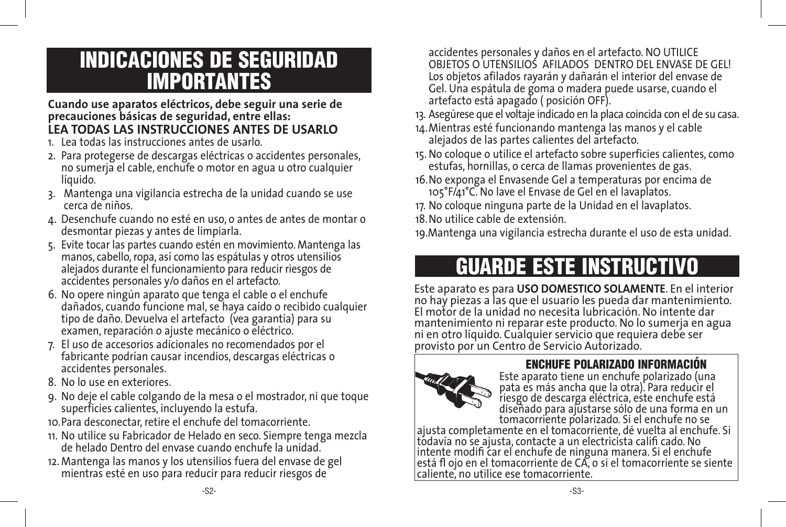## INDICACIONES DE SEGURIDAD IMPORTANTES

### **Cuando use aparatos eléctricos, debe seguir una serie de precauciones básicas de seguridad, entre ellas: LEA TODAS LAS INSTRUCCIONES ANTES DE USARLO**

- 1. Lea todas las instrucciones antes de usarlo.
- 2. Para protegerse de descargas eléctricas o accidentes personales, no sumerja el cable, enchufe o motor en agua u otro cualquier líquido.
- 3. Mantenga una vigilancia estrecha de la unidad cuando se use cerca de niños.
- 4. Desenchufe cuando no esté en uso, o antes de antes de montar o desmontar piezas y antes de limpiarla.
- 5. Evite tocar las partes cuando estén en movimiento. Mantenga las manos, cabello, ropa, así como las espátulas y otros utensilios alejados durante el funcionamiento para reducir riesgos de accidentes personales y/o daños en el artefacto.
- 6. No opere ningún aparato que tenga el cable o el enchufe dañados, cuando funcione mal, se haya caído o recibido cualquier tipo de daño. Devuelva el artefacto (vea garantía) para su examen, reparación o ajuste mecánico o eléctrico.
- 7. El uso de accesorios adicionales no recomendados por el fabricante podrían causar incendios, descargas eléctricas o accidentes personales.
- 8. No lo use en exteriores.
- 9. No deje el cable colgando de la mesa o el mostrador, ni que toque superficies calientes, incluyendo la estufa.
- 10.Para desconectar, retire el enchufe del tomacorriente.
- 11. No utilice su Fabricador de Helado en seco. Siempre tenga mezcla de helado Dentro del envase cuando enchufe la unidad.
- 12. Mantenga las manos y los utensilios fuera del envase de gel mientras esté en uso para reducir para reducir riesgos de

accidentes personales y daños en el artefacto. NO UTILICE OBJETOS O UTENSILIOS AFILADOS DENTRO DEL ENVASE DE GEL! Los objetos afilados rayarán y dañarán el interior del envase de Gel. Una espátula de goma o madera puede usarse, cuando el artefacto está apagado ( posición OFF).

- 13. Asegúrese que el voltaje indicado en la placa coincida con el de su casa.
- 14.Mientras esté funcionando mantenga las manos y el cable alejados de las partes calientes del artefacto.
- 15. No coloque o utilice el artefacto sobre superficies calientes, como estufas, hornillas, o cerca de llamas provenientes de gas.
- 16.No exponga el Envasende Gel a temperaturas por encima de 105°F/41°C. No lave el Envase de Gel en el lavaplatos.
- 17. No coloque ninguna parte de la Unidad en el lavaplatos.
- 18.No utilice cable de extensión.

19.Mantenga una vigilancia estrecha durante el uso de esta unidad.

## GUARDE ESTE INSTRUCTIVO

Este aparato es para **USO DOMESTICO SOLAMENTE**. En el interior no hay piezas a las que el usuario les pueda dar mantenimiento. El motor de la unidad no necesita lubricación. No intente dar mantenimiento ni reparar este producto. No lo sumerja en agua ni en otro líquido. Cualquier servicio que requiera debe ser provisto por un Centro de Servicio Autorizado.



### ENCHUFE POLARIZADO INFORMACIÓN

Este aparato tiene un enchufe polarizado (una pata es más ancha que la otra). Para reducir el riesgo de descarga eléctrica, este enchufe está diseñado para ajustarse sólo de una forma en un

ajusta completamente en el tomacorriente, dé vuelta al enchufe. Si tódavía no se ajusta, contacte a un electricista califi cado. No intente modifi car el enchufe de ninguna manera. Si el enchufe está fl ojo en el tomacorriente de CA, o si el tomacorriente se siente caliente, no utilice ese tomacorriente.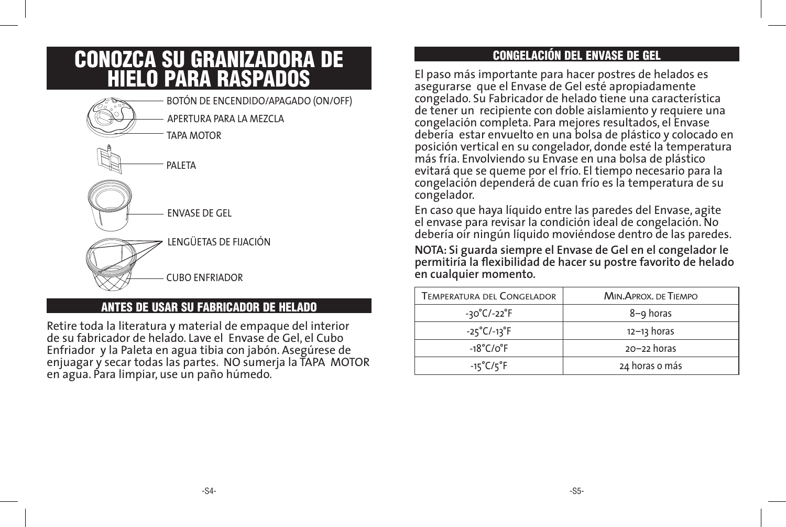## CONOZCA SU GRANIZADORA DE HIELO PARA RASPADOS



ANTES DE USAR SU FABRICADOR DE HELADO

Retire toda la literatura y material de empaque del interior de su fabricador de helado. Lave el Envase de Gel, el Cubo Enfriador y la Paleta en agua tibia con jabón. Asegúrese de enjuagar y secar todas las partes. NO sumerja la TAPA MOTOR en agua. Para limpiar, use un paño húmedo.

### CONGELACIÓN DEL ENVASE DE GEL

El paso más importante para hacer postres de helados es asegurarse que el Envase de Gel esté apropiadamente congelado. Su Fabricador de helado tiene una característica de tener un recipiente con doble aislamiento y requiere una congelación completa. Para mejores resultados, el Envase debería estar envuelto en una bolsa de plástico y colocado en posición vertical en su congelador, donde esté la temperatura más fría. Envolviendo su Envase en una bolsa de plástico evitará que se queme por el frío. El tiempo necesario para la congelación dependerá de cuan frío es la temperatura de su congelador.

En caso que haya líquido entre las paredes del Envase, agite el envase para revisar la condición ideal de congelación. No debería oír ningún líquido moviéndose dentro de las paredes.

**NOTA: Si guarda siempre el Envase de Gel en el congelador le permitiría la flexibilidad de hacer su postre favorito de helado en cualquier momento.**

| Temperatura del Congelador       | MIN. APROX. DE TIEMPO |
|----------------------------------|-----------------------|
| -30°C/-22°F                      | 8-9 horas             |
| $-25^{\circ}$ C/-13 $^{\circ}$ F | $12 - 13$ horas       |
| $-18^{\circ}$ C/o $^{\circ}$ F   | $20 - 22$ horas       |
| $-15^{\circ}$ C/ $5^{\circ}$ F   | 24 horas o más        |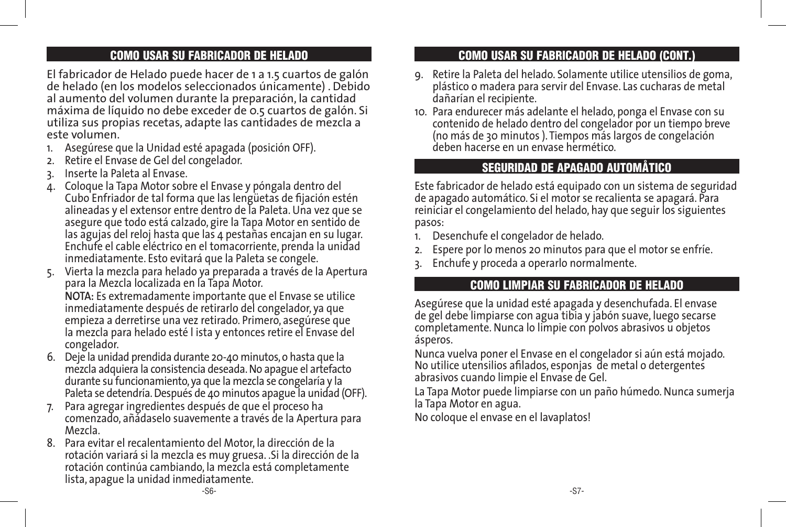### COMO USAR SU FABRICADOR DE HELADO

El fabricador de Helado puede hacer de 1 a 1.5 cuartos de galón de helado (en los modelos seleccionados únicamente) . Debido al aumento del volumen durante la preparación, la cantidad máxima de líquido no debe exceder de 0.5 cuartos de galón. Si utiliza sus propias recetas, adapte las cantidades de mezcla a este volumen.

- 1. Asegúrese que la Unidad esté apagada (posición OFF).
- 2. Retire el Envase de Gel del congelador.
- 3. Inserte la Paleta al Envase.
- 4. Coloque la Tapa Motor sobre el Envase y póngala dentro del Cubo Enfriador de tal forma que las lengüetas de fijación estén alineadas y el extensor entre dentro de la Paleta. Una vez que se asegure que todo está calzado, gire la Tapa Motor en sentido de las agujas del reloj hasta que las 4 pestañas encajan en su lugar. Enchufe el cable eléctrico en el tomacorriente, prenda la unidad inmediatamente. Esto evitará que la Paleta se congele.
- 5. Vierta la mezcla para helado ya preparada a través de la Apertura para la Mezcla localizada en la Tapa Motor. **NOTA:** Es extremadamente importante que el Envase se utilice inmediatamente después de retirarlo del congelador, ya que empieza a derretirse una vez retirado. Primero, asegúrese que la mezcla para helado esté l ista y entonces retire el Envase del congelador.
- 6. Deje la unidad prendida durante 20-40 minutos, o hasta que la mezcla adquiera la consistencia deseada. No apague el artefacto durante su funcionamiento, ya que la mezcla se congelaría y la Paleta se detendría. Después de 40 minutos apague la unidad (OFF).
- 7. Para agregar ingredientes después de que el proceso ha comenzado, añádaselo suavemente a través de la Apertura para Mezcla.
- 8. Para evitar el recalentamiento del Motor, la dirección de la rotación variará si la mezcla es muy gruesa. .Si la dirección de la rotación continúa cambiando, la mezcla está completamente lista, apague la unidad inmediatamente.

### COMO USAR SU FABRICADOR DE HELADO (CONT.)

- 9. Retire la Paleta del helado. Solamente utilice utensilios de goma, plástico o madera para servir del Envase. Las cucharas de metal dañarían el recipiente.
- 10. Para endurecer más adelante el helado, ponga el Envase con su contenido de helado dentro del congelador por un tiempo breve (no más de 30 minutos ). Tiempos más largos de congelación deben hacerse en un envase hermético.

### SEGURIDAD DE APAGADO AUTOMÅTICO

Este fabricador de helado está equipado con un sistema de seguridad de apagado automático. Si el motor se recalienta se apagará. Para reiniciar el congelamiento del helado, hay que seguir los siguientes pasos:

- Desenchufe el congelador de helado.
- 2. Espere por lo menos 20 minutos para que el motor se enfríe.
- 3. Enchufe y proceda a operarlo normalmente.

### COMO LIMPIAR SU FABRICADOR DE HELADO

Asegúrese que la unidad esté apagada y desenchufada. El envase de gel debe limpiarse con agua tibia y jabón suave, luego secarse completamente. Nunca lo limpie con polvos abrasivos u objetos ásperos.

Nunca vuelva poner el Envase en el congelador si aún está mojado. No utilice utensilios afilados, esponjas de metal o detergentes abrasivos cuando limpie el Envase de Gel.

La Tapa Motor puede limpiarse con un paño húmedo. Nunca sumerja la Tapa Motor en agua.

No coloque el envase en el lavaplatos!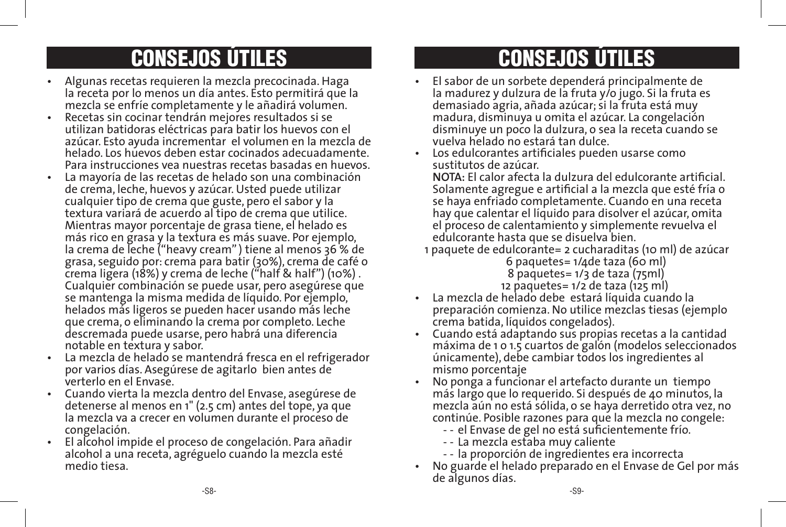## CONSEJOS ÚTILES CONSEJOS ÚTILES

- Algunas recetas requieren la mezcla precocinada. Haga la receta por lo menos un día antes. Esto permitirá que la mezcla se enfríe completamente y le añadirá volumen.
- Recetas sin cocinar tendrán mejores resultados si se utilizan batidoras eléctricas para batir los huevos con el azúcar. Esto ayuda incrementar el volumen en la mezcla de helado. Los huevos deben estar cocinados adecuadamente. Para instrucciones vea nuestras recetas basadas en huevos.
- La mayoría de las recetas de helado son una combinación de crema, leche, huevos y azúcar. Usted puede utilizar cualquier tipo de crema que guste, pero el sabor y la textura variará de acuerdo al tipo de crema que utilice. Mientras mayor porcentaje de grasa tiene, el helado es más rico en grasa y la textura es más suave. Por ejemplo, la crema de leche ("heavy cream" ) tiene al menos 36 % de grasa, seguido por: crema para batir (30%), crema de café o crema ligera (18%) y crema de leche ("half & half") (10%) . Cualquier combinación se puede usar, pero asegúrese que se mantenga la misma medida de líquido. Por ejemplo, helados más ligeros se pueden hacer usando más leche que crema, o eliminando la crema por completo. Leche descremada puede usarse, pero habrá una diferencia notable en textura y sabor.
- La mezcla de helado se mantendrá fresca en el refrigerador por varios días. Asegúrese de agitarlo bien antes de verterlo en el Envase.
- Cuando vierta la mezcla dentro del Envase, asegúrese de detenerse al menos en 1" (2.5 cm) antes del tope, ya que la mezcla va a crecer en volumen durante el proceso de congelación.
- El alcohol impide el proceso de congelación. Para añadir alcohol a una receta, agréguelo cuando la mezcla esté medio tiesa.

- El sabor de un sorbete dependerá principalmente de la madurez y dulzura de la fruta y/o jugo. Si la fruta es demasiado agria, añada azúcar; si la fruta está muy madura, disminuya u omita el azúcar. La congelación disminuye un poco la dulzura, o sea la receta cuando se vuelva helado no estará tan dulce.
- Los edulcorantes artificiales pueden usarse como sustitutos de azúcar.

 **NOTA:** El calor afecta la dulzura del edulcorante artificial. Solamente agregue e artificial a la mezcla que esté fría o se haya enfriado completamente. Cuando en una receta hay que calentar el líquido para disolver el azúcar, omita el proceso de calentamiento y simplemente revuelva el edulcorante hasta que se disuelva bien.

1 paquete de edulcorante= 2 cucharaditas (10 ml) de azúcar 6 paquetes= 1/4de taza (60 ml)

 8 paquetes= 1/3 de taza (75ml) 12 paquetes= 1/2 de taza (125 ml)

- La mezcla de helado debe estará líquida cuando la preparación comienza. No utilice mezclas tiesas (ejemplo crema batida, líquidos congelados).
- Cuando está adaptando sus propias recetas a la cantidad máxima de 1 o 1.5 cuartos de galón (modelos seleccionados únicamente), debe cambiar todos los ingredientes al mismo porcentaje
- No ponga a funcionar el artefacto durante un tiempo más largo que lo requerido. Si después de 40 minutos, la mezcla aún no está sólida, o se haya derretido otra vez, no continúe. Posible razones para que la mezcla no congele:
	- - el Envase de gel no está suficientemente frío.
	- - La mezcla estaba muy caliente
	- - la proporción de ingredientes era incorrecta
- No guarde el helado preparado en el Envase de Gel por más de algunos días.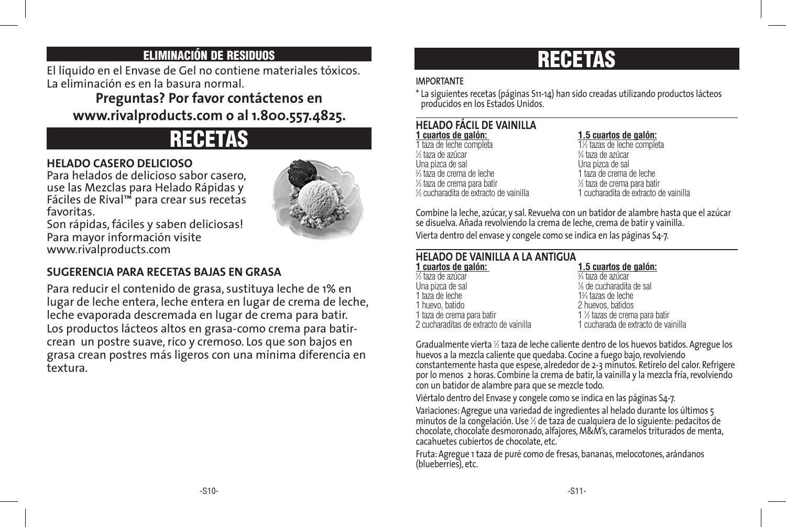### ELIMINACIÓN DE RESIDUOS

El líquido en el Envase de Gel no contiene materiales tóxicos. La eliminación es en la basura normal.

### **Preguntas? Por favor contáctenos en www.rivalproducts.com o al 1.800.557.4825.**

## RECETAS

### **HELADO CASERO DELICIOSO**

Para helados de delicioso sabor casero, use las Mezclas para Helado Rápidas y Fáciles de Rival™ para crear sus recetas favoritas.



Son rápidas, fáciles y saben deliciosas! Para mayor información visite www.rivalproducts.com

### **SUGERENCIA PARA RECETAS BAJAS EN GRASA**

Para reducir el contenido de grasa, sustituya leche de 1% en lugar de leche entera, leche entera en lugar de crema de leche, leche evaporada descremada en lugar de crema para batir. Los productos lácteos altos en grasa-como crema para batircrean un postre suave, rico y cremoso. Los que son bajos en grasa crean postres más ligeros con una mínima diferencia en textura.

## RECETAS

### **IMPORTANTE**

\* La siguientes recetas (páginas S11-14) han sido creadas utilizando productos lácteos producidos en los Estados Unidos.

## **HELADO FÁCIL DE VAINILLA**

1 taza de leche completa ⁄2 taza de azúcar 3 % taza de crema de leche ⁄3 taza de crema para batir 1  $%$  cucharadita de extracto de vainilla

### **1 cuartos de galón: 1.5 cuartos de galón:**

⁄2 tazas de leche completa 1 ⁄4 taza de azúcar  $1$  taza de crema de leche  $1/2$  taza de crema para batir ⁄2 cucharadita de extracto de vainilla 1 cucharadita de extracto de vainilla

Combine la leche, azúcar, y sal. Revuelva con un batidor de alambre hasta que el azúcar se disuelva. Añada revolviendo la crema de leche, crema de batir y vainilla. Vierta dentro del envase y congele como se indica en las páginas S4-7.

### **HELADO DE VAINILLA A LA ANTIGUA**

**1 cuartos de galón: 1.5 cuartos de galón:**  $\frac{1}{2}$  taza de azúcar  $\frac{3}{2}$ Una pizca de sal 1 1 taza de leche<br>1 huevo, batido 1 taza de crema para batir 1 1 2 cucharaditas de extracto de vainilla

⁄4 taza de azúcar ⁄8 de cucharadita de sal ⁄4 tazas de leche 2 huevos, batidos ⁄2 tazas de crema para batir

Gradualmente vierta <sup>1</sup> ⁄2 taza de leche caliente dentro de los huevos batidos. Agregue los huevos a la mezcla caliente que quedaba. Cocine a fuego bajo, revolviendo constantemente hasta que espese, alrededor de 2-3 minutos. Retírelo del calor. Refrigere por lo menos 2 horas. Combine la crema de batir, la vainilla y la mezcla fría, revolviendo con un batidor de alambre para que se mezcle todo.

Viértalo dentro del Envase y congele como se indica en las páginas S4-7.

Variaciones: Agregue una variedad de ingredientes al helado durante los últimos 5 minutos de la congelación. Use <sup>1</sup> ⁄2 de taza de cualquiera de lo siguiente: pedacitos de chocolate, chocolate desmoronado, alfajores, M&M's, caramelos triturados de menta, cacahuetes cubiertos de chocolate, etc.

Fruta: Agregue 1 taza de puré como de fresas, bananas, melocotones, arándanos (blueberries), etc.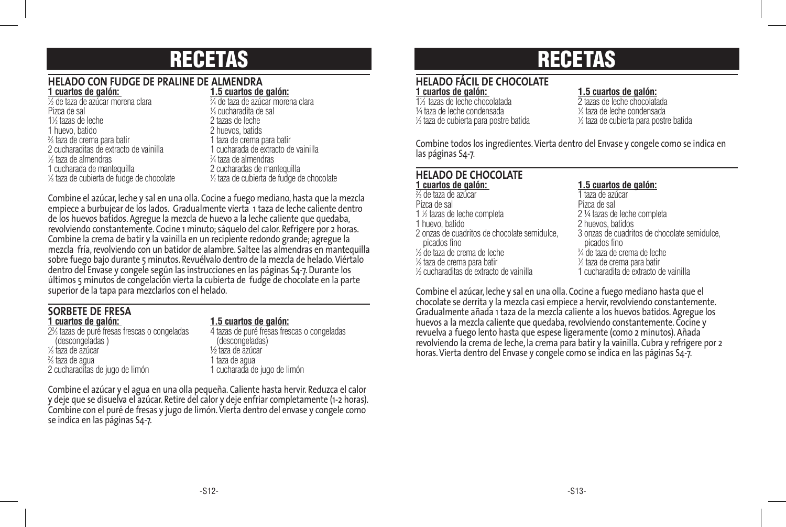## RECETAS

### **HELADO CON FUDGE DE PRALINE DE ALMENDRA**

| 1 cuartos de galón:                                    | 1.5 cuartos de galón:                      |
|--------------------------------------------------------|--------------------------------------------|
| 1/2 de taza de azúcar morena clara                     | 3⁄4 de taza de azúcar morena clara         |
| Pizca de sal                                           | 1% cucharadita de sal                      |
| 1% tazas de leche                                      | 2 tazas de leche                           |
| 1 huevo, batido                                        | 2 huevos, batids                           |
| % taza de crema para batir                             | 1 taza de crema para batir                 |
| 2 cucharaditas de extracto de vainilla                 | 1 cucharada de extracto de vainilla        |
| 1/2 taza de almendras                                  | % taza de almendras                        |
| 1 cucharada de manteguilla                             | 2 cucharadas de mantequilla                |
| 1/ <sub>3</sub> taza de cubierta de fudge de chocolate | 1/2 taza de cubierta de fudge de chocolate |

Combine el azúcar, leche y sal en una olla. Cocine a fuego mediano, hasta que la mezcla empiece a burbujear de los lados. Gradualmente vierta 1 taza de leche caliente dentro de los huevos batidos. Agregue la mezcla de huevo a la leche caliente que quedaba, revolviendo constantemente. Cocine 1 minuto; sáquelo del calor. Refrigere por 2 horas. Combine la crema de batir y la vainilla en un recipiente redondo grande; agregue la mezcla fría, revolviendo con un batidor de alambre. Saltee las almendras en mantequilla sobre fuego bajo durante 5 minutos. Revuélvalo dentro de la mezcla de helado. Viértalo dentro del Envase y congele según las instrucciones en las páginas S4-7. Durante los últimos 5 minutos de congelación vierta la cubierta de fudge de chocolate en la parte superior de la tapa para mezclarlos con el helado.

## **SORBETE DE FRESA**

2% tazas de puré fresas frescas o congeladas (descongeladas ) (descongeladas) 1 ⁄3 taza de azúcar ½ taza de azúcar 2 2 cucharaditas de jugo de limón

### **1 cuartos de galón: 1.5 cuartos de galón:**

4 tazas de puré fresas frescas o congeladas (descongeladas) 1 taza de agua<br>1 cucharada de jugo de limón

Combine el azúcar y el agua en una olla pequeña. Caliente hasta hervir. Reduzca el calor y deje que se disuelva el azúcar. Retire del calor y deje enfriar completamente (1-2 horas). Combine con el puré de fresas y jugo de limón. Vierta dentro del envase y congele como se indica en las páginas S4-7.

## RECETAS

## **HELADO FÁCIL DE CHOCOLATE**

11 ⁄3 tazas de leche chocolatada 2 tazas de leche chocolatada ¼ taza de leche condensada <sup>1</sup> 1 ⁄3 taza de cubierta para postre batida <sup>1</sup>

### **1.5 cuartos de galón:**<br>2 tazas de leche chocolatada

⁄3 taza de leche condensada ⁄2 taza de cubierta para postre batida

Combine todos los ingredientes. Vierta dentro del Envase y congele como se indica en las páginas S4-7.

## **HELADO DE CHOCOLATE**

2 ⁄3 de taza de azúcar 1 taza de azúcar Pizca de sal Pizca de sal 1 1/2 tazas de leche completa<br>1 huevo, batido 1 huevo, batido 2 huevos, batidos picados fino<br>
de taza de crema de leche<br>
<sup>3⁄4</sup> de taza de crema de leche 1 ⁄2 de taza de crema de leche 3 ⁄4 de taza de crema de leche 1  $\frac{1}{2}$  taza de crema para batir  $\frac{1}{2}$  taza de crema para batir  $\frac{1}{2}$  cucharadita de extracto de vainilla

### **1 cuartos de galón: 1.5 cuartos de galón:**

⁄2 tazas de leche completa 2 ¼ tazas de leche completa 2 onzas de cuadritos de chocolate semidulce, 3 onzas de cuadritos de chocolate semidulce, ⁄2 taza de crema para batir 1 ⁄2 cucharaditas de extracto de vainilla 1 cucharadita de extracto de vainilla

Combine el azúcar, leche y sal en una olla. Cocine a fuego mediano hasta que el chocolate se derrita y la mezcla casi empiece a hervir, revolviendo constantemente. Gradualmente añada 1 taza de la mezcla caliente a los huevos batidos. Agregue los huevos a la mezcla caliente que quedaba, revolviendo constantemente. Cocine y revuelva a fuego lento hasta que espese ligeramente (como 2 minutos). Añada revolviendo la crema de leche, la crema para batir y la vainilla. Cubra y refrigere por 2 horas. Vierta dentro del Envase y congele como se indica en las páginas S4-7.